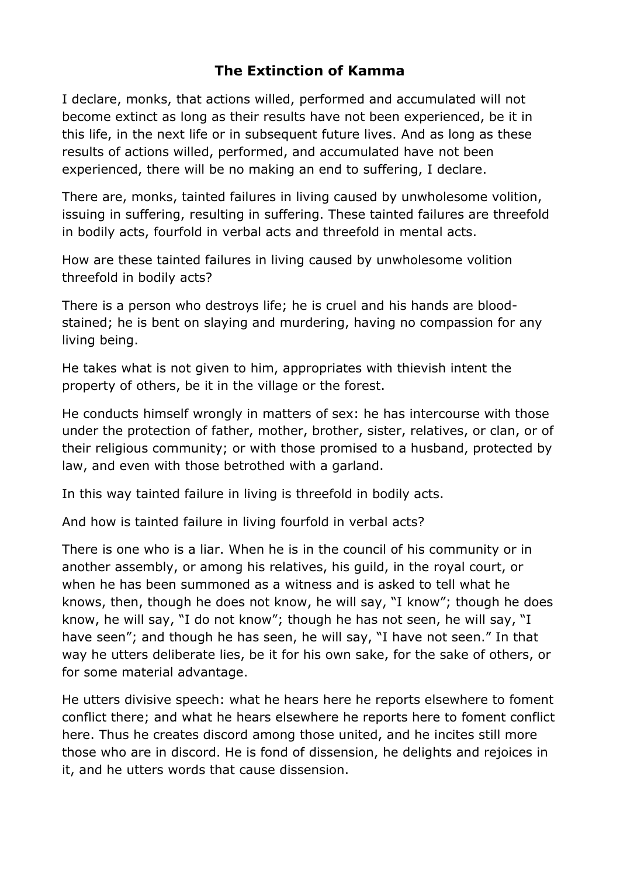I declare, monks, that actions willed, performed and accumulated will not become extinct as long as their results have not been experienced, be it in this life, in the next life or in subsequent future lives. And as long as these results of actions willed, performed, and accumulated have not been experienced, there will be no making an end to suffering, I declare.

There are, monks, tainted failures in living caused by unwholesome volition, issuing in suffering, resulting in suffering. These tainted failures are threefold in bodily acts, fourfold in verbal acts and threefold in mental acts.

How are these tainted failures in living caused by unwholesome volition threefold in bodily acts?

There is a person who destroys life; he is cruel and his hands are bloodstained; he is bent on slaying and murdering, having no compassion for any living being.

He takes what is not given to him, appropriates with thievish intent the property of others, be it in the village or the forest.

He conducts himself wrongly in matters of sex: he has intercourse with those under the protection of father, mother, brother, sister, relatives, or clan, or of their religious community; or with those promised to a husband, protected by law, and even with those betrothed with a garland.

In this way tainted failure in living is threefold in bodily acts.

And how is tainted failure in living fourfold in verbal acts?

There is one who is a liar. When he is in the council of his community or in another assembly, or among his relatives, his guild, in the royal court, or when he has been summoned as a witness and is asked to tell what he knows, then, though he does not know, he will say, "I know"; though he does know, he will say, "I do not know"; though he has not seen, he will say, "I have seen"; and though he has seen, he will say, "I have not seen." In that way he utters deliberate lies, be it for his own sake, for the sake of others, or for some material advantage.

He utters divisive speech: what he hears here he reports elsewhere to foment conflict there; and what he hears elsewhere he reports here to foment conflict here. Thus he creates discord among those united, and he incites still more those who are in discord. He is fond of dissension, he delights and rejoices in it, and he utters words that cause dissension.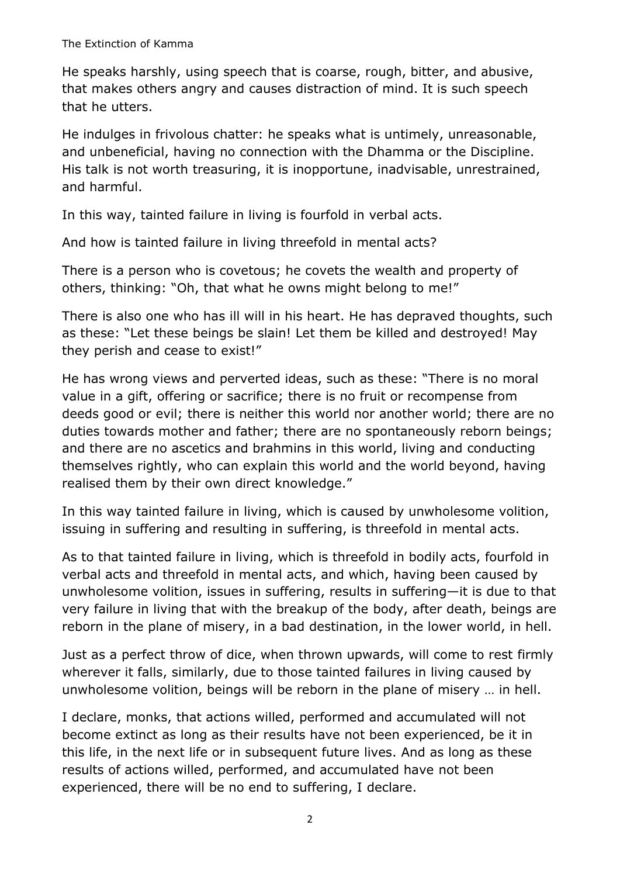He speaks harshly, using speech that is coarse, rough, bitter, and abusive, that makes others angry and causes distraction of mind. It is such speech that he utters.

He indulges in frivolous chatter: he speaks what is untimely, unreasonable, and unbeneficial, having no connection with the Dhamma or the Discipline. His talk is not worth treasuring, it is inopportune, inadvisable, unrestrained, and harmful.

In this way, tainted failure in living is fourfold in verbal acts.

And how is tainted failure in living threefold in mental acts?

There is a person who is covetous; he covets the wealth and property of others, thinking: "Oh, that what he owns might belong to me!"

There is also one who has ill will in his heart. He has depraved thoughts, such as these: "Let these beings be slain! Let them be killed and destroyed! May they perish and cease to exist!"

He has wrong views and perverted ideas, such as these: "There is no moral value in a gift, offering or sacrifice; there is no fruit or recompense from deeds good or evil; there is neither this world nor another world; there are no duties towards mother and father; there are no spontaneously reborn beings; and there are no ascetics and brahmins in this world, living and conducting themselves rightly, who can explain this world and the world beyond, having realised them by their own direct knowledge."

In this way tainted failure in living, which is caused by unwholesome volition, issuing in suffering and resulting in suffering, is threefold in mental acts.

As to that tainted failure in living, which is threefold in bodily acts, fourfold in verbal acts and threefold in mental acts, and which, having been caused by unwholesome volition, issues in suffering, results in suffering—it is due to that very failure in living that with the breakup of the body, after death, beings are reborn in the plane of misery, in a bad destination, in the lower world, in hell.

Just as a perfect throw of dice, when thrown upwards, will come to rest firmly wherever it falls, similarly, due to those tainted failures in living caused by unwholesome volition, beings will be reborn in the plane of misery … in hell.

I declare, monks, that actions willed, performed and accumulated will not become extinct as long as their results have not been experienced, be it in this life, in the next life or in subsequent future lives. And as long as these results of actions willed, performed, and accumulated have not been experienced, there will be no end to suffering, I declare.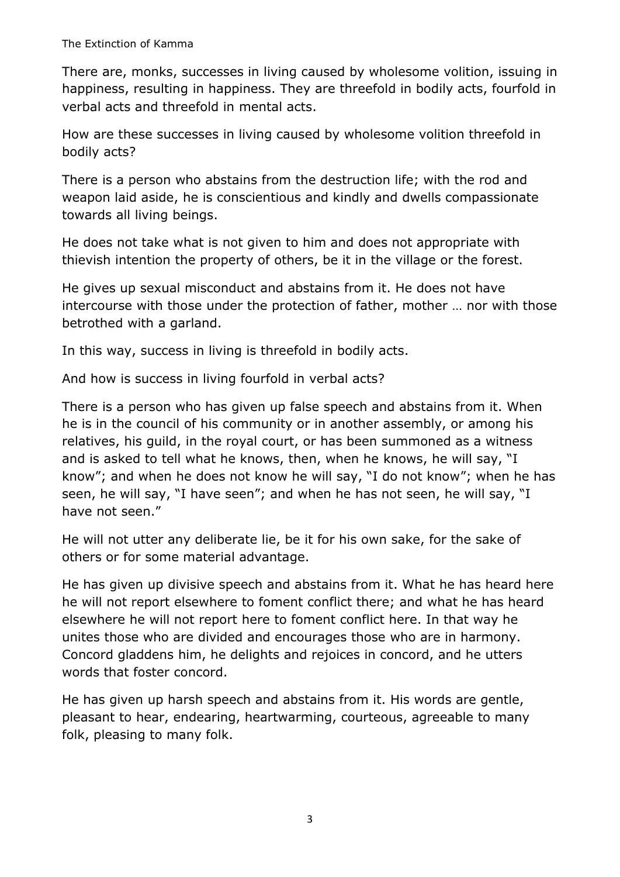There are, monks, successes in living caused by wholesome volition, issuing in happiness, resulting in happiness. They are threefold in bodily acts, fourfold in verbal acts and threefold in mental acts.

How are these successes in living caused by wholesome volition threefold in bodily acts?

There is a person who abstains from the destruction life; with the rod and weapon laid aside, he is conscientious and kindly and dwells compassionate towards all living beings.

He does not take what is not given to him and does not appropriate with thievish intention the property of others, be it in the village or the forest.

He gives up sexual misconduct and abstains from it. He does not have intercourse with those under the protection of father, mother … nor with those betrothed with a garland.

In this way, success in living is threefold in bodily acts.

And how is success in living fourfold in verbal acts?

There is a person who has given up false speech and abstains from it. When he is in the council of his community or in another assembly, or among his relatives, his guild, in the royal court, or has been summoned as a witness and is asked to tell what he knows, then, when he knows, he will say, "I know"; and when he does not know he will say, "I do not know"; when he has seen, he will say, "I have seen"; and when he has not seen, he will say, "I have not seen."

He will not utter any deliberate lie, be it for his own sake, for the sake of others or for some material advantage.

He has given up divisive speech and abstains from it. What he has heard here he will not report elsewhere to foment conflict there; and what he has heard elsewhere he will not report here to foment conflict here. In that way he unites those who are divided and encourages those who are in harmony. Concord gladdens him, he delights and rejoices in concord, and he utters words that foster concord.

He has given up harsh speech and abstains from it. His words are gentle, pleasant to hear, endearing, heartwarming, courteous, agreeable to many folk, pleasing to many folk.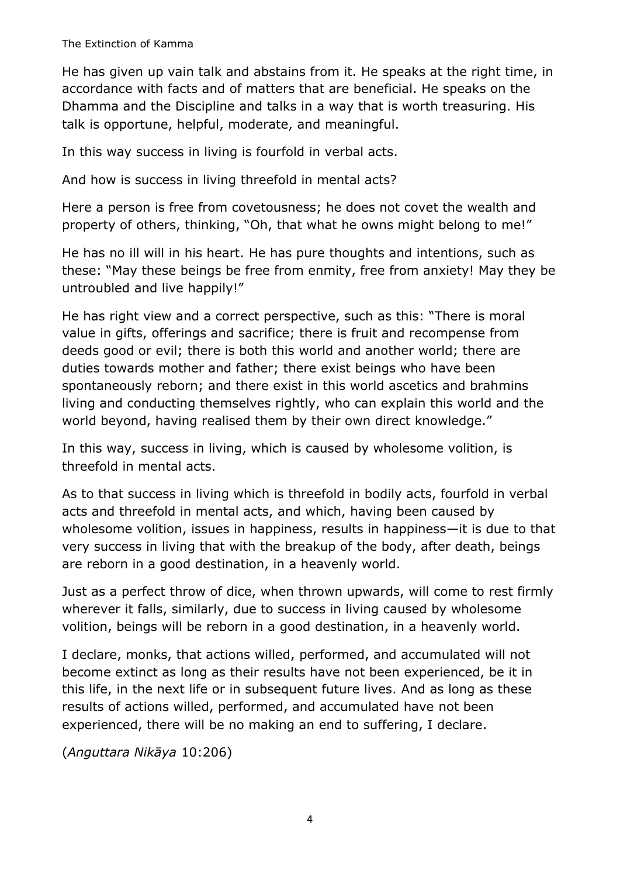He has given up vain talk and abstains from it. He speaks at the right time, in accordance with facts and of matters that are beneficial. He speaks on the Dhamma and the Discipline and talks in a way that is worth treasuring. His talk is opportune, helpful, moderate, and meaningful.

In this way success in living is fourfold in verbal acts.

And how is success in living threefold in mental acts?

Here a person is free from covetousness; he does not covet the wealth and property of others, thinking, "Oh, that what he owns might belong to me!"

He has no ill will in his heart. He has pure thoughts and intentions, such as these: "May these beings be free from enmity, free from anxiety! May they be untroubled and live happily!"

He has right view and a correct perspective, such as this: "There is moral value in gifts, offerings and sacrifice; there is fruit and recompense from deeds good or evil; there is both this world and another world; there are duties towards mother and father; there exist beings who have been spontaneously reborn; and there exist in this world ascetics and brahmins living and conducting themselves rightly, who can explain this world and the world beyond, having realised them by their own direct knowledge."

In this way, success in living, which is caused by wholesome volition, is threefold in mental acts.

As to that success in living which is threefold in bodily acts, fourfold in verbal acts and threefold in mental acts, and which, having been caused by wholesome volition, issues in happiness, results in happiness—it is due to that very success in living that with the breakup of the body, after death, beings are reborn in a good destination, in a heavenly world.

Just as a perfect throw of dice, when thrown upwards, will come to rest firmly wherever it falls, similarly, due to success in living caused by wholesome volition, beings will be reborn in a good destination, in a heavenly world.

I declare, monks, that actions willed, performed, and accumulated will not become extinct as long as their results have not been experienced, be it in this life, in the next life or in subsequent future lives. And as long as these results of actions willed, performed, and accumulated have not been experienced, there will be no making an end to suffering, I declare.

(*Anguttara Nikāya* 10:206)